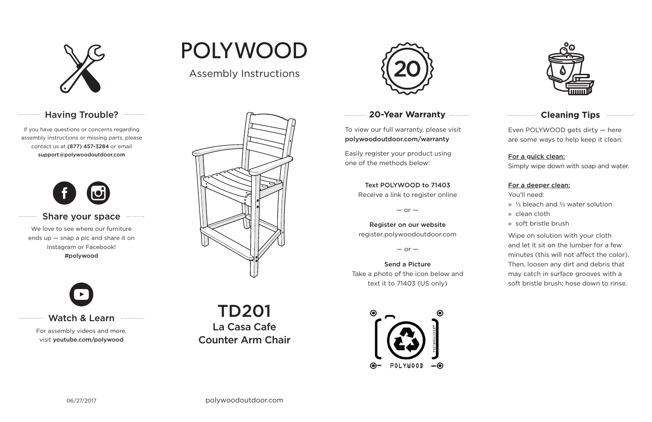

## Having Trouble? ............

### **20-Year Warranty**

To view our full warranty, please visit polywoodoutdoor.com/warranty

Easily register your product using one of the methods below:

Even POLYWOOD gets dirty — here are some ways to help keep it clean:

#### For a quick clean:

Simply wipe down with soap and water.

#### For a deeper clean:

You'll need:

- » ⅓ bleach and ⅔ water solution
- » clean cloth
- » soft bristle brush

Wipe on solution with your cloth and let it sit on the lumber for a few minutes (this will not affect the color). Then, loosen any dirt and debris that may catch in surface grooves with a soft bristle brush; hose down to rinse.

#### Share your space  $. . . . . . . . . . .$

#### Text POLYWOOD to 71403

Receive a link to register online

 $-$  or  $-$ 

Register on our website register.polywoodoutdoor.com

 $-$  or  $-$ 

#### Send a PictureTake a photo of the icon below and text it to 71403 (US only)



#### **Cleaning Tips manufacture Cleaning Tips**

#### Watch & Learn

For assembly videos and more, visit youtube.com/polywood

# **POLYWOOD**

If you have questions or concerns regarding assembly instructions or missing parts, please contact us at (877) 457-3284 or email support@polywoodoutdoor.com

. . . . . . . . . . . . .

. . . . . . . . . . .

. . . . . . . . . . . . . .



We love to see where our furniture ends up — snap a pic and share it on Instagram or Facebook! #polywood



## Assembly Instructions



TD201La Casa CafeCounter Arm Chair